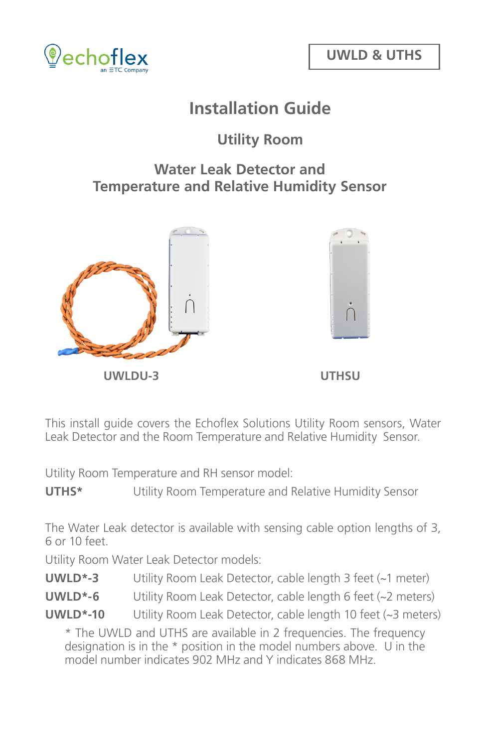

# **Installation Guide**

## **Utility Room**

#### **Water Leak Detector and Temperature and Relative Humidity Sensor**



**UWLDU-3 UTHSU**



This install guide covers the Echoflex Solutions Utility Room sensors, Water Leak Detector and the Room Temperature and Relative Humidity Sensor.

Utility Room Temperature and RH sensor model:

**UTHS\*** Utility Room Temperature and Relative Humidity Sensor

The Water Leak detector is available with sensing cable option lengths of 3, 6 or 10 feet.

Utility Room Water Leak Detector models:

**UWLD\*-3** Utility Room Leak Detector, cable length 3 feet (~1 meter)

**UWLD\*-6** Utility Room Leak Detector, cable length 6 feet (~2 meters)

**UWLD\*-10** Utility Room Leak Detector, cable length 10 feet (~3 meters)

\* The UWLD and UTHS are available in 2 frequencies. The frequency designation is in the \* position in the model numbers above. U in the model number indicates 902 MHz and Y indicates 868 MHz.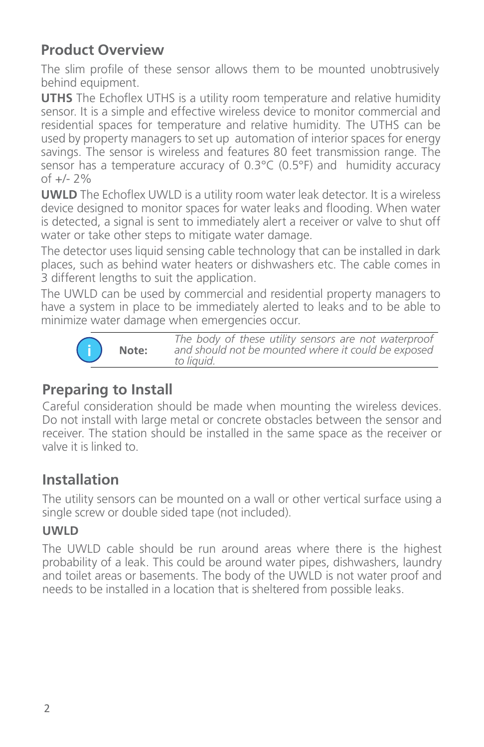# **Product Overview**

The slim profile of these sensor allows them to be mounted unobtrusively behind equipment.

**UTHS** The Echoflex UTHS is a utility room temperature and relative humidity sensor. It is a simple and effective wireless device to monitor commercial and residential spaces for temperature and relative humidity. The UTHS can be used by property managers to set up automation of interior spaces for energy savings. The sensor is wireless and features 80 feet transmission range. The sensor has a temperature accuracy of 0.3°C (0.5°F) and humidity accuracy of +/- 2%

**UWLD** The Echoflex UWLD is a utility room water leak detector. It is a wireless device designed to monitor spaces for water leaks and flooding. When water is detected, a signal is sent to immediately alert a receiver or valve to shut off water or take other steps to mitigate water damage.

The detector uses liquid sensing cable technology that can be installed in dark places, such as behind water heaters or dishwashers etc. The cable comes in 3 different lengths to suit the application.

The UWLD can be used by commercial and residential property managers to have a system in place to be immediately alerted to leaks and to be able to minimize water damage when emergencies occur.



*The body of these utility sensors are not waterproof and should not be mounted where it could be exposed* 

## **Preparing to Install**

Careful consideration should be made when mounting the wireless devices. Do not install with large metal or concrete obstacles between the sensor and receiver. The station should be installed in the same space as the receiver or valve it is linked to.

# **Installation**

The utility sensors can be mounted on a wall or other vertical surface using a single screw or double sided tape (not included).

#### **UWLD**

The UWLD cable should be run around areas where there is the highest probability of a leak. This could be around water pipes, dishwashers, laundry and toilet areas or basements. The body of the UWLD is not water proof and needs to be installed in a location that is sheltered from possible leaks.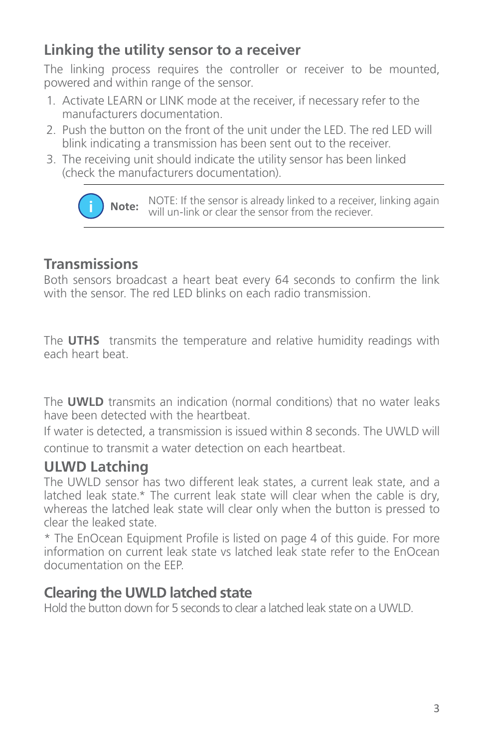# **Linking the utility sensor to a receiver**

The linking process requires the controller or receiver to be mounted, powered and within range of the sensor.

- 1. Activate LEARN or LINK mode at the receiver, if necessary refer to the manufacturers documentation.
- 2. Push the button on the front of the unit under the LED. The red LED will blink indicating a transmission has been sent out to the receiver.
- 3. The receiving unit should indicate the utility sensor has been linked (check the manufacturers documentation).

**Note:** NOTE: If the sensor is already linked to a receiver, linking again will un-link or clear the sensor from the reciever.

#### **Transmissions**

Both sensors broadcast a heart beat every 64 seconds to confirm the link with the sensor. The red LED blinks on each radio transmission.

The **UTHS** transmits the temperature and relative humidity readings with each heart beat.

The **UWLD** transmits an indication (normal conditions) that no water leaks have been detected with the heartbeat.

If water is detected, a transmission is issued within 8 seconds. The UWLD will

continue to transmit a water detection on each heartbeat.

#### **ULWD Latching**

The UWLD sensor has two different leak states, a current leak state, and a latched leak state.\* The current leak state will clear when the cable is dry, whereas the latched leak state will clear only when the button is pressed to clear the leaked state.

\* The EnOcean Equipment Profile is listed on page 4 of this guide. For more information on current leak state vs latched leak state refer to the EnOcean documentation on the EEP.

#### **Clearing the UWLD latched state**

Hold the button down for 5 seconds to clear a latched leak state on a UWLD.